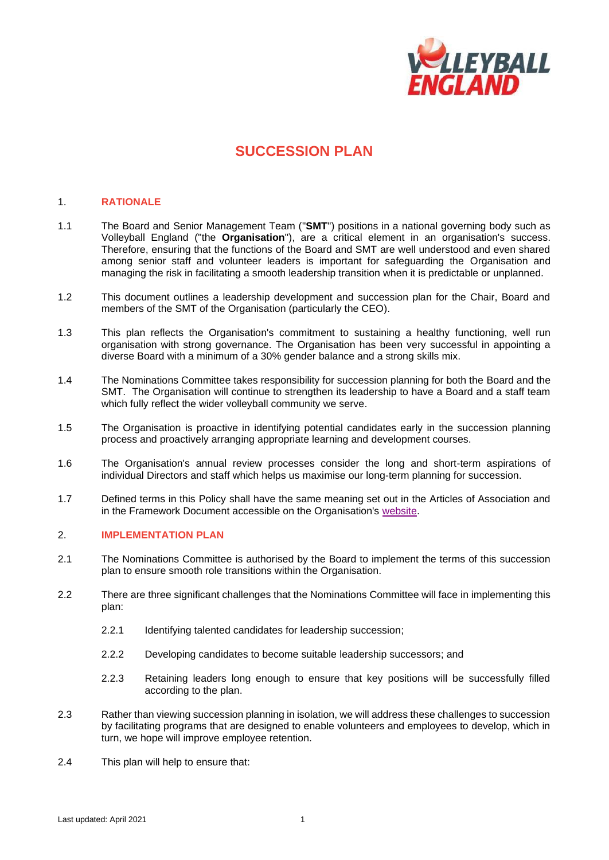

# **SUCCESSION PLAN**

### 1. **RATIONALE**

- 1.1 The Board and Senior Management Team ("**SMT**") positions in a national governing body such as Volleyball England ("the **Organisation**"), are a critical element in an organisation's success. Therefore, ensuring that the functions of the Board and SMT are well understood and even shared among senior staff and volunteer leaders is important for safeguarding the Organisation and managing the risk in facilitating a smooth leadership transition when it is predictable or unplanned.
- 1.2 This document outlines a leadership development and succession plan for the Chair, Board and members of the SMT of the Organisation (particularly the CEO).
- 1.3 This plan reflects the Organisation's commitment to sustaining a healthy functioning, well run organisation with strong governance. The Organisation has been very successful in appointing a diverse Board with a minimum of a 30% gender balance and a strong skills mix.
- 1.4 The Nominations Committee takes responsibility for succession planning for both the Board and the SMT. The Organisation will continue to strengthen its leadership to have a Board and a staff team which fully reflect the wider volleyball community we serve.
- 1.5 The Organisation is proactive in identifying potential candidates early in the succession planning process and proactively arranging appropriate learning and development courses.
- 1.6 The Organisation's annual review processes consider the long and short-term aspirations of individual Directors and staff which helps us maximise our long-term planning for succession.
- 1.7 Defined terms in this Policy shall have the same meaning set out in the Articles of Association and in the Framework Document accessible on the Organisation's [website.](http://www.volleyballengland.org/about_us/about_us_/governance)

### 2. **IMPLEMENTATION PLAN**

- 2.1 The Nominations Committee is authorised by the Board to implement the terms of this succession plan to ensure smooth role transitions within the Organisation.
- 2.2 There are three significant challenges that the Nominations Committee will face in implementing this plan:
	- 2.2.1 Identifying talented candidates for leadership succession;
	- 2.2.2 Developing candidates to become suitable leadership successors; and
	- 2.2.3 Retaining leaders long enough to ensure that key positions will be successfully filled according to the plan.
- 2.3 Rather than viewing succession planning in isolation, we will address these challenges to succession by facilitating programs that are designed to enable volunteers and employees to develop, which in turn, we hope will improve employee retention.
- 2.4 This plan will help to ensure that: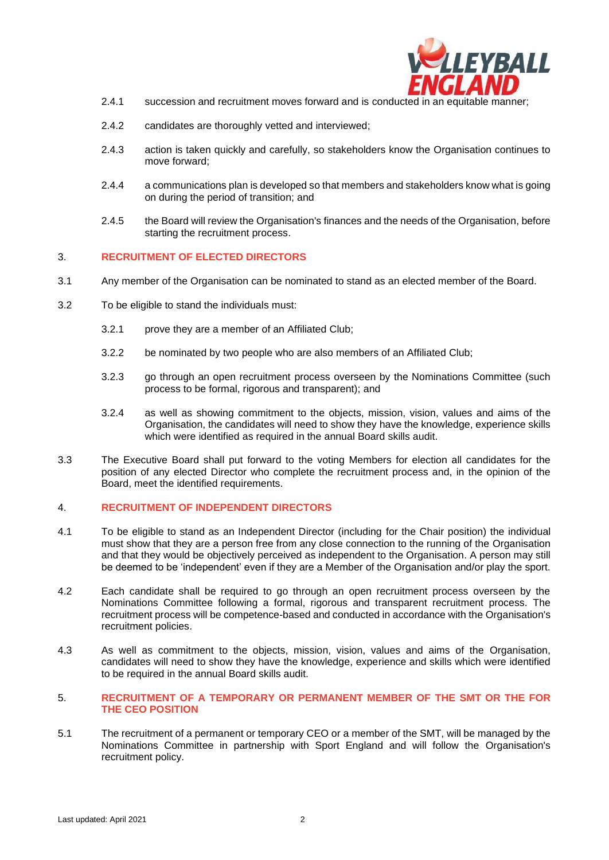

- 2.4.1 succession and recruitment moves forward and is conducted in an equitable manner;
- 2.4.2 candidates are thoroughly vetted and interviewed;
- 2.4.3 action is taken quickly and carefully, so stakeholders know the Organisation continues to move forward;
- 2.4.4 a communications plan is developed so that members and stakeholders know what is going on during the period of transition; and
- 2.4.5 the Board will review the Organisation's finances and the needs of the Organisation, before starting the recruitment process.

### 3. **RECRUITMENT OF ELECTED DIRECTORS**

- 3.1 Any member of the Organisation can be nominated to stand as an elected member of the Board.
- 3.2 To be eligible to stand the individuals must:
	- 3.2.1 prove they are a member of an Affiliated Club;
	- 3.2.2 be nominated by two people who are also members of an Affiliated Club;
	- 3.2.3 go through an open recruitment process overseen by the Nominations Committee (such process to be formal, rigorous and transparent); and
	- 3.2.4 as well as showing commitment to the objects, mission, vision, values and aims of the Organisation, the candidates will need to show they have the knowledge, experience skills which were identified as required in the annual Board skills audit.
- 3.3 The Executive Board shall put forward to the voting Members for election all candidates for the position of any elected Director who complete the recruitment process and, in the opinion of the Board, meet the identified requirements.

### 4. **RECRUITMENT OF INDEPENDENT DIRECTORS**

- 4.1 To be eligible to stand as an Independent Director (including for the Chair position) the individual must show that they are a person free from any close connection to the running of the Organisation and that they would be objectively perceived as independent to the Organisation. A person may still be deemed to be 'independent' even if they are a Member of the Organisation and/or play the sport.
- 4.2 Each candidate shall be required to go through an open recruitment process overseen by the Nominations Committee following a formal, rigorous and transparent recruitment process. The recruitment process will be competence-based and conducted in accordance with the Organisation's recruitment policies.
- 4.3 As well as commitment to the objects, mission, vision, values and aims of the Organisation, candidates will need to show they have the knowledge, experience and skills which were identified to be required in the annual Board skills audit.

#### 5. **RECRUITMENT OF A TEMPORARY OR PERMANENT MEMBER OF THE SMT OR THE FOR THE CEO POSITION**

5.1 The recruitment of a permanent or temporary CEO or a member of the SMT, will be managed by the Nominations Committee in partnership with Sport England and will follow the Organisation's recruitment policy.